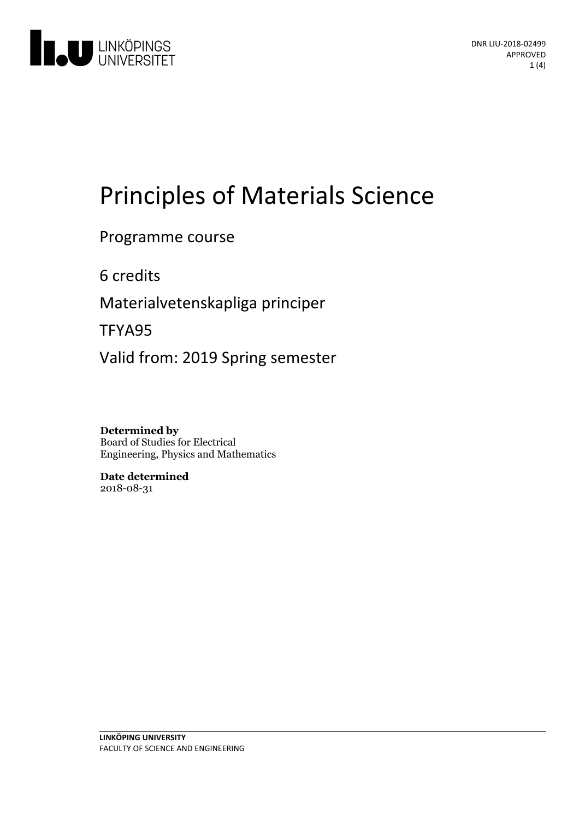

# Principles of Materials Science

## Programme course

6 credits

Materialvetenskapliga principer

TFYA95

Valid from: 2019 Spring semester

**Determined by** Board of Studies for Electrical Engineering, Physics and Mathematics

**Date determined** 2018-08-31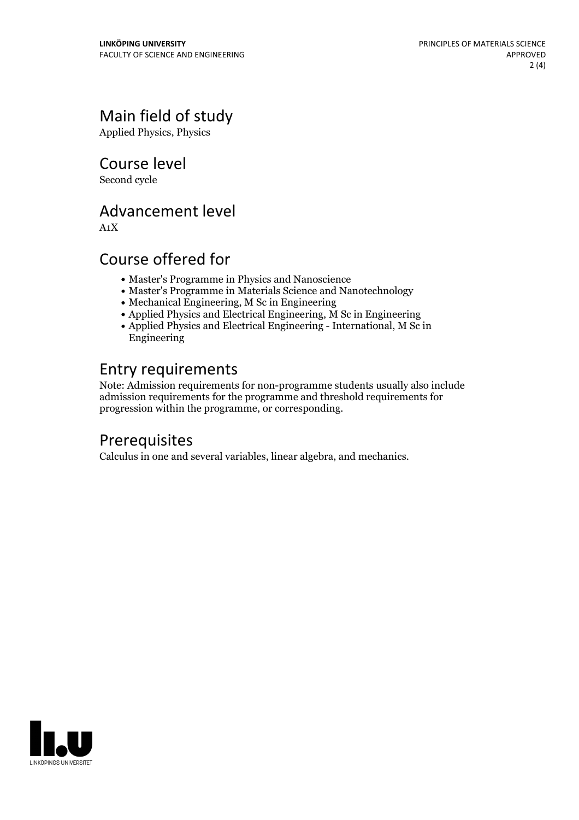# Main field of study

Applied Physics, Physics

Course level

Second cycle

#### Advancement level

A1X

## Course offered for

- Master's Programme in Physics and Nanoscience
- Master's Programme in Materials Science and Nanotechnology
- Mechanical Engineering, M Sc in Engineering
- $\bullet$  Applied Physics and Electrical Engineering,  $\check{M}$  Sc in Engineering
- Applied Physics and Electrical Engineering International, M Sc in Engineering

# Entry requirements

Note: Admission requirements for non-programme students usually also include admission requirements for the programme and threshold requirements for progression within the programme, or corresponding.

# **Prerequisites**

Calculus in one and several variables, linear algebra, and mechanics.

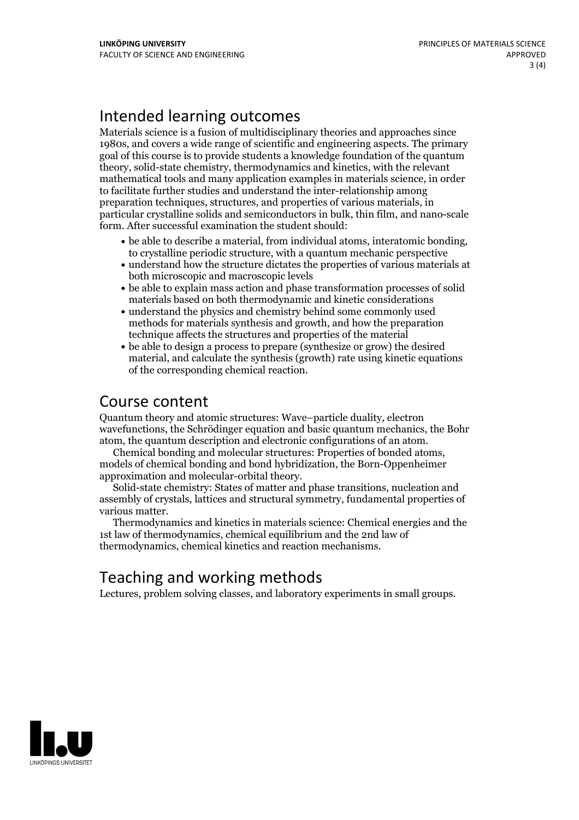# Intended learning outcomes

Materials science is a fusion of multidisciplinary theories and approaches since 1980s, and covers a wide range of scientific and engineering aspects. The primary goal of this course is to provide students a knowledge foundation of the quantum theory, solid-state chemistry, thermodynamics and kinetics, with the relevant mathematical tools and many application examples in materials science, in order to facilitate further studies and understand the inter-relationship among preparation techniques, structures, and properties of various materials, in particular crystalline solids and semiconductors in bulk, thin film, and nano-scale form. After successful examination the student should:

- be able to describe <sup>a</sup> material, from individual atoms, interatomic bonding, to crystalline periodic structure, with <sup>a</sup> quantum mechanic perspective
- understand how the structure dictates the properties of various materials at both microscopic and macroscopic levels
- be able to explain mass action and phase transformation processes of solid materials based on both thermodynamic and kinetic considerations
- understand the physics and chemistry behind some commonly used methods for materials synthesis and growth, and how the preparation technique affects the structures and properties of the material
- be able to design a process to prepare (synthesize or grow) the desired material, and calculate the synthesis (growth) rate using kinetic equations of the corresponding chemical reaction.

#### Course content

Quantum theory and atomic structures: Wave–particle duality, electron wavefunctions, the Schrödinger equation and basic quantum mechanics, the Bohr

atom, the quantum description and electronic configurations of an atom. Chemical bonding and molecular structures: Properties of bonded atoms, models of chemical bonding and bond hybridization, the Born-Oppenheimer approximation and molecular-orbital theory. Solid-state chemistry: States of matter and phase transitions, nucleation and

assembly of crystals, lattices and structural symmetry, fundamental properties of

various matter. Thermodynamics and kinetics in materials science: Chemical energies and the 1st law of thermodynamics, chemical equilibrium and the 2nd law of thermodynamics, chemical kinetics and reaction mechanisms.

# Teaching and working methods

Lectures, problem solving classes, and laboratory experiments in small groups.